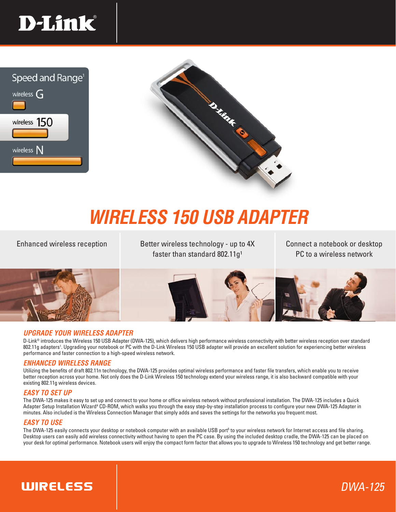





## *WIRELESS 150 USB ADAPTER*

Enhanced wireless reception **Example 2** Better wireless technology - up to 4X Connect a notebook or desktop faster than standard  $802.11g<sup>1</sup>$ 

PC to a wireless network

DWA-125



#### *UPGRADE YOUR WIRELESS ADAPTER*

D-Link® introduces the Wireless 150 USB Adapter (DWA-125), which delivers high performance wireless connectivity with better wireless reception over standard 802.11g adapters<sup>1</sup>. Upgrading your notebook or PC with the D-Link Wireless 150 USB adapter will provide an excellent solution for experiencing better wireless performance and faster connection to a high-speed wireless network.

#### *ENHANCED WIRELESS RANGE*

Utilizing the benefits of draft 802.11n technology, the DWA-125 provides optimal wireless performance and faster file transfers, which enable you to receive better reception across your home. Not only does the D-Link Wireless 150 technology extend your wireless range, it is also backward compatible with your existing 802.11g wireless devices.

#### *EASY TO SET UP*

The DWA-125 makes it easy to set up and connect to your home or office wireless network without professional installation. The DWA-125 includes a Quick Adapter Setup Installation Wizard<sup>4</sup> CD-ROM, which walks you through the easy step-by-step installation process to configure your new DWA-125 Adapter in minutes. Also included is the Wireless Connection Manager that simply adds and saves the settings for the networks you frequent most.

#### *EASY TO USE*

The DWA-125 easily connects your desktop or notebook computer with an available USB port<sup>5</sup> to your wireless network for Internet access and file sharing. Desktop users can easily add wireless connectivity without having to open the PC case. By using the included desktop cradle, the DWA-125 can be placed on your desk for optimal performance. Notebook users will enjoy the compact form factor that allows you to upgrade to Wireless 150 technology and get better range.